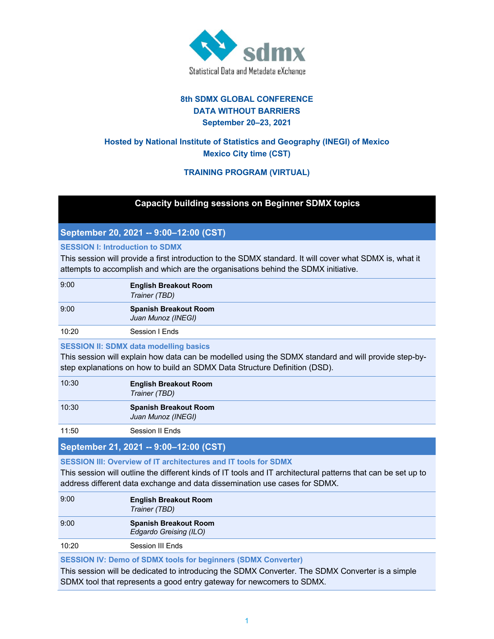

## **8th SDMX GLOBAL CONFERENCE DATA WITHOUT BARRIERS September 20–23, 2021**

# **Hosted by National Institute of Statistics and Geography (INEGI) of Mexico Mexico City time (CST)**

## **TRAINING PROGRAM (VIRTUAL)**

## **Capacity building sessions on Beginner SDMX topics**

## **September 20, 2021 -- 9:00–12:00 (CST)**

#### **SESSION I: Introduction to SDMX**

This session will provide a first introduction to the SDMX standard. It will cover what SDMX is, what it attempts to accomplish and which are the organisations behind the SDMX initiative.

| 9:00  | <b>English Breakout Room</b><br>Trainer (TBD)      |
|-------|----------------------------------------------------|
| 9:00  | <b>Spanish Breakout Room</b><br>Juan Munoz (INEGI) |
| 10:20 | Session I Ends                                     |

#### **SESSION II: SDMX data modelling basics**

This session will explain how data can be modelled using the SDMX standard and will provide step-bystep explanations on how to build an SDMX Data Structure Definition (DSD).

| 10:30 | <b>English Breakout Room</b><br>Trainer (TBD)      |
|-------|----------------------------------------------------|
| 10:30 | <b>Spanish Breakout Room</b><br>Juan Munoz (INEGI) |
|       |                                                    |

11:50 Session II Ends

## **September 21, 2021 -- 9:00–12:00 (CST)**

**SESSION III: Overview of IT architectures and IT tools for SDMX**

This session will outline the different kinds of IT tools and IT architectural patterns that can be set up to address different data exchange and data dissemination use cases for SDMX.

| 9:00  | <b>English Breakout Room</b><br>Trainer (TBD)          |
|-------|--------------------------------------------------------|
| 9:00  | <b>Spanish Breakout Room</b><br>Edgardo Greising (ILO) |
| 10:20 | Session III Ends                                       |

#### **SESSION IV: Demo of SDMX tools for beginners (SDMX Converter)**

This session will be dedicated to introducing the SDMX Converter. The SDMX Converter is a simple SDMX tool that represents a good entry gateway for newcomers to SDMX.